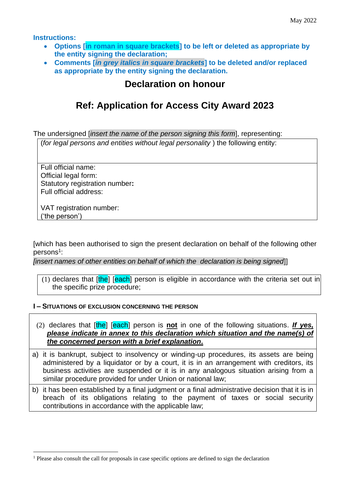**Instructions:**

- **Options [in roman in square brackets] to be left or deleted as appropriate by the entity signing the declaration;**
- **Comments [***in grey italics in square brackets***] to be deleted and/or replaced as appropriate by the entity signing the declaration.**

## **Declaration on honour**

# **Ref: Application for Access City Award 2023**

The undersigned [*insert the name of the person signing this form*], representing:

(*for legal persons and entities without legal personality* ) the following entity:

Full official name: Official legal form: Statutory registration number**:**  Full official address:

VAT registration number: ('the person')

[which has been authorised to sign the present declaration on behalf of the following other persons<sup>1</sup>:

*[insert names of other entities on behalf of which the declaration is being signed*]]

(1) declares that  $[the]$  [each] person is eligible in accordance with the criteria set out in the specific prize procedure;

### **I – SITUATIONS OF EXCLUSION CONCERNING THE PERSON**

- (2) declares that [the] [each] person is **not** in one of the following situations. *If yes, please indicate in annex to this declaration which situation and the name(s) of the concerned person with a brief explanation***.**
- a) it is bankrupt, subject to insolvency or winding-up procedures, its assets are being administered by a liquidator or by a court, it is in an arrangement with creditors, its business activities are suspended or it is in any analogous situation arising from a similar procedure provided for under Union or national law;
- b) it has been established by a final judgment or a final administrative decision that it is in breach of its obligations relating to the payment of taxes or social security contributions in accordance with the applicable law;

<sup>1</sup> Please also consult the call for proposals in case specific options are defined to sign the declaration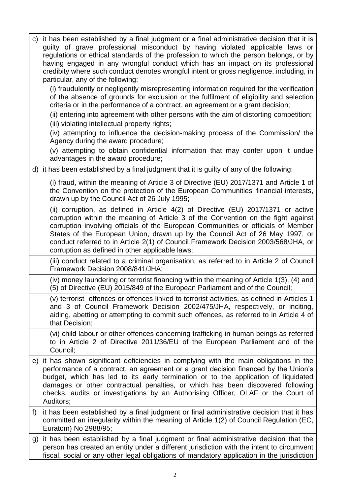c) it has been established by a final judgment or a final administrative decision that it is guilty of grave professional misconduct by having violated applicable laws or regulations or ethical standards of the profession to which the person belongs, or by having engaged in any wrongful conduct which has an impact on its professional credibity where such conduct denotes wrongful intent or gross negligence, including, in particular, any of the following: (i) fraudulently or negligently misrepresenting information required for the verification of the absence of grounds for exclusion or the fulfilment of eligibility and selection criteria or in the performance of a contract, an agreement or a grant decision; (ii) entering into agreement with other persons with the aim of distorting competition; (iii) violating intellectual property rights; (iv) attempting to influence the decision-making process of the Commission/ the Agency during the award procedure; (v) attempting to obtain confidential information that may confer upon it undue advantages in the award procedure; d) it has been established by a final judgment that it is guilty of any of the following: (i) fraud, within the meaning of Article 3 of Directive (EU) 2017/1371 and Article 1 of the Convention on the protection of the European Communities' financial interests, drawn up by the Council Act of 26 July 1995; (ii) corruption, as defined in Article 4(2) of Directive (EU) 2017/1371 or active corruption within the meaning of Article 3 of the Convention on the fight against corruption involving officials of the European Communities or officials of Member States of the European Union, drawn up by the Council Act of 26 May 1997, or conduct referred to in Article 2(1) of Council Framework Decision 2003/568/JHA, or corruption as defined in other applicable laws; (iii) conduct related to a criminal organisation, as referred to in Article 2 of Council Framework Decision 2008/841/JHA; (iv) money laundering or terrorist financing within the meaning of Article 1(3), (4) and (5) of Directive (EU) 2015/849 of the European Parliament and of the Council; (v) terrorist offences or offences linked to terrorist activities, as defined in Articles 1 and 3 of Council Framework Decision 2002/475/JHA, respectively, or inciting, aiding, abetting or attempting to commit such offences, as referred to in Article 4 of that Decision; (vi) child labour or other offences concerning trafficking in human beings as referred to in Article 2 of Directive 2011/36/EU of the European Parliament and of the Council; e) it has shown significant deficiencies in complying with the main obligations in the performance of a contract, an agreement or a grant decision financed by the Union's budget, which has led to its early termination or to the application of liquidated damages or other contractual penalties, or which has been discovered following checks, audits or investigations by an Authorising Officer, OLAF or the Court of Auditors; f) it has been established by a final judgment or final administrative decision that it has committed an irregularity within the meaning of Article 1(2) of Council Regulation (EC, Euratom) No 2988/95; g) it has been established by a final judgment or final administrative decision that the person has created an entity under a different jurisdiction with the intent to circumvent fiscal, social or any other legal obligations of mandatory application in the jurisdiction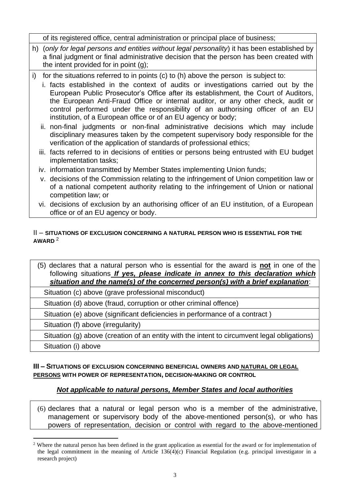of its registered office, central administration or principal place of business;

- h) (*only for legal persons and entities without legal personality*) it has been established by a final judgment or final administrative decision that the person has been created with the intent provided for in point (g);
- i) for the situations referred to in points (c) to (h) above the person is subject to:
	- i. facts established in the context of audits or investigations carried out by the European Public Prosecutor's Office after its establishment, the Court of Auditors, the European Anti-Fraud Office or internal auditor, or any other check, audit or control performed under the responsibility of an authorising officer of an EU institution, of a European office or of an EU agency or body;
	- ii. non-final judgments or non-final administrative decisions which may include disciplinary measures taken by the competent supervisory body responsible for the verification of the application of standards of professional ethics;
	- iii. facts referred to in decisions of entities or persons being entrusted with EU budget implementation tasks;
	- iv. information transmitted by Member States implementing Union funds;
	- v. decisions of the Commission relating to the infringement of Union competition law or of a national competent authority relating to the infringement of Union or national competition law; or
	- vi. decisions of exclusion by an authorising officer of an EU institution, of a European office or of an EU agency or body.

### II – **SITUATIONS OF EXCLUSION CONCERNING A NATURAL PERSON WHO IS ESSENTIAL FOR THE AWARD** <sup>2</sup>

(5) declares that a natural person who is essential for the award is **not** in one of the following situations *If yes, please indicate in annex to this declaration which situation and the name(s) of the concerned person(s) with a brief explanation*:

Situation (c) above (grave professional misconduct)

Situation (d) above (fraud, corruption or other criminal offence)

Situation (e) above (significant deficiencies in performance of a contract )

Situation (f) above (irregularity)

Situation (g) above (creation of an entity with the intent to circumvent legal obligations)

Situation (i) above

### **III – SITUATIONS OF EXCLUSION CONCERNING BENEFICIAL OWNERS AND NATURAL OR LEGAL PERSONS WITH POWER OF REPRESENTATION, DECISION-MAKING OR CONTROL**

### *Not applicable to natural persons, Member States and local authorities*

(6) declares that a natural or legal person who is a member of the administrative, management or supervisory body of the above-mentioned person(s), or who has powers of representation, decision or control with regard to the above-mentioned

<sup>&</sup>lt;sup>2</sup> Where the natural person has been defined in the grant application as essential for the award or for implementation of the legal commitment in the meaning of Article 136(4)(c) Financial Regulation (e.g. principal investigator in a research project)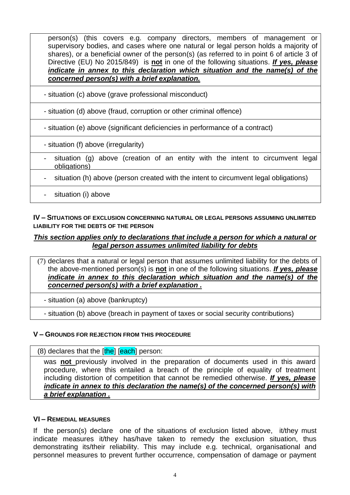person(s) (this covers e.g. company directors, members of management or supervisory bodies, and cases where one natural or legal person holds a majority of shares), or a beneficial owner of the person(s) (as referred to in point 6 of article 3 of Directive (EU) No 2015/849) is **not** in one of the following situations. *If yes, please indicate in annex to this declaration which situation and the name(s) of the concerned person(s) with a brief explanation.*

- situation (c) above (grave professional misconduct)
- situation (d) above (fraud, corruption or other criminal offence)
- situation (e) above (significant deficiencies in performance of a contract)
- situation (f) above (irregularity)
- situation (g) above (creation of an entity with the intent to circumvent legal obligations)
	- situation (h) above (person created with the intent to circumvent legal obligations)
	- situation (i) above

**IV – SITUATIONS OF EXCLUSION CONCERNING NATURAL OR LEGAL PERSONS ASSUMING UNLIMITED LIABILITY FOR THE DEBTS OF THE PERSON**

### *This section applies only to declarations that include a person for which a natural or legal person assumes unlimited liability for debts*

(7) declares that a natural or legal person that assumes unlimited liability for the debts of the above-mentioned person(s) is **not** in one of the following situations. *If yes, please indicate in annex to this declaration which situation and the name(s) of the concerned person(s) with a brief explanation .*

- situation (a) above (bankruptcy)

- situation (b) above (breach in payment of taxes or social security contributions)

### **V – GROUNDS FOR REJECTION FROM THIS PROCEDURE**

 $(8)$  declares that the  $[the]$  [each] person:

was **not** previously involved in the preparation of documents used in this award procedure, where this entailed a breach of the principle of equality of treatment including distortion of competition that cannot be remedied otherwise. *If yes, please indicate in annex to this declaration the name(s) of the concerned person(s) with a brief explanation .*

### **VI – REMEDIAL MEASURES**

If the person(s) declare one of the situations of exclusion listed above, it/they must indicate measures it/they has/have taken to remedy the exclusion situation, thus demonstrating its/their reliability. This may include e.g. technical, organisational and personnel measures to prevent further occurrence, compensation of damage or payment